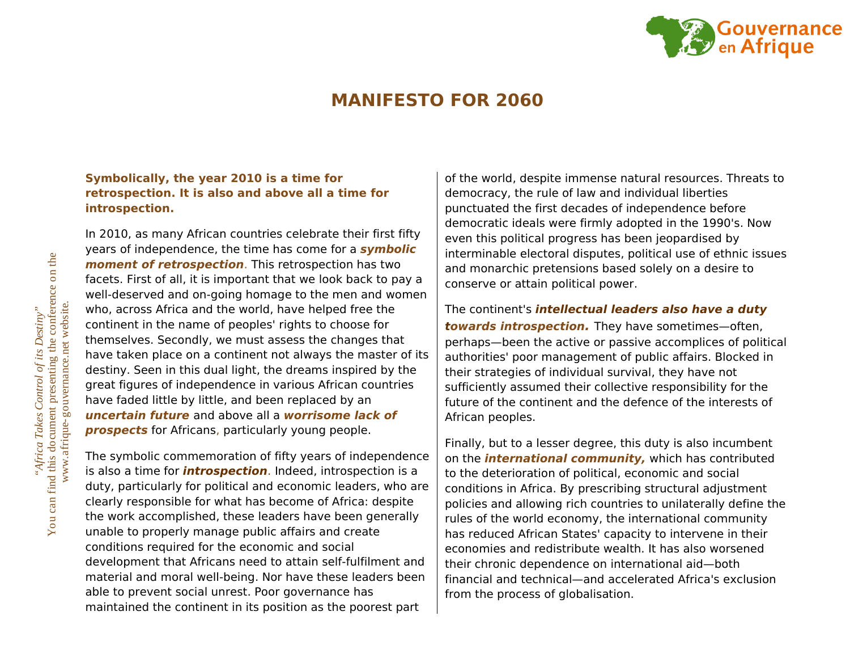

## **MANIFESTO FOR 2060**

## **Symbolically, the year 2010 is a time for retrospection. It is also and above all a time for introspection.**

In 2010, as many African countries celebrate their first fifty years of independence, the time has come for a **symbolic moment of retrospection**. This retrospection has two facets. First of all, it is important that we look back to pay a well-deserved and on-going homage to the men and women who, across Africa and the world, have helped free the continent in the name of peoples' rights to choose for themselves. Secondly, we must assess the changes that have taken place on a continent not always the master of its destiny. Seen in this dual light, the dreams inspired by the great figures of independence in various African countries have faded little by little, and been replaced by an **uncertain future** and above all a **worrisome lack of prospects** for Africans, particularly young people.

The symbolic commemoration of fifty years of independence is also a time for **introspection**. Indeed, introspection is a duty, particularly for political and economic leaders, who are clearly responsible for what has become of Africa: despite the work accomplished, these leaders have been generally unable to properly manage public affairs and create conditions required for the economic and social development that Africans need to attain self-fulfilment and material and moral well-being. Nor have these leaders been able to prevent social unrest. Poor governance has maintained the continent in its position as the poorest part

of the world, despite immense natural resources. Threats to democracy, the rule of law and individual liberties punctuated the first decades of independence before democratic ideals were firmly adopted in the 1990's. Now even this political progress has been jeopardised by interminable electoral disputes, political use of ethnic issues and monarchic pretensions based solely on a desire to conserve or attain political power.

The continent's **intellectual leaders also have a duty towards introspection.** They have sometimes—often, perhaps—been the active or passive accomplices of political authorities' poor management of public affairs. Blocked in their strategies of individual survival, they have not sufficiently assumed their collective responsibility for the future of the continent and the defence of the interests of African peoples.

Finally, but to a lesser degree, this duty is also incumbent on the **international community,** which has contributed to the deterioration of political, economic and social conditions in Africa. By prescribing structural adjustment policies and allowing rich countries to unilaterally define the rules of the world economy, the international community has reduced African States' capacity to intervene in their economies and redistribute wealth. It has also worsened their chronic dependence on international aid—both financial and technical—and accelerated Africa's exclusion from the process of globalisation.